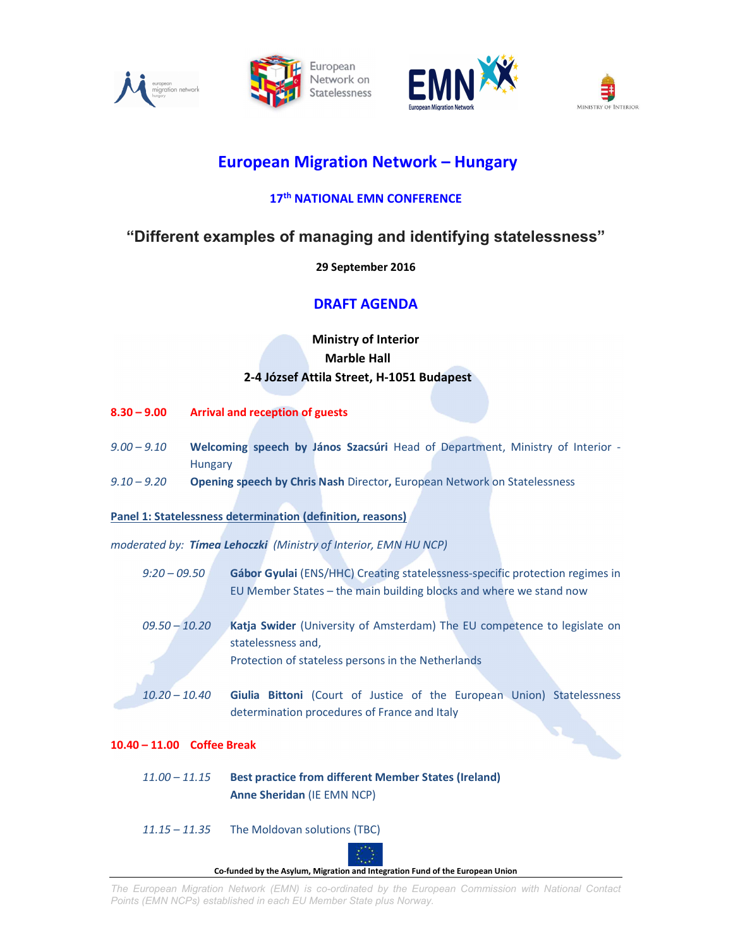







# European Migration Network – Hungary

## 17<sup>th</sup> NATIONAL EMN CONFERENCE

## "Different examples of managing and identifying statelessness"

#### 29 September 2016

## DRAFT AGENDA

### Ministry of Interior Marble Hall 2-4 József Attila Street, H-1051 Budapest

- 8.30 9.00 Arrival and reception of guests
- 9.00 9.10 Welcoming speech by János Szacsúri Head of Department, Ministry of Interior -Hungary
- 9.10 9.20 **Opening speech by Chris Nash** Director, European Network on Statelessness

#### Panel 1: Statelessness determination (definition, reasons)

moderated by: Timea Lehoczki (Ministry of Interior, EMN HU NCP)

- 9:20 09.50 Gábor Gyulai (ENS/HHC) Creating statelessness-specific protection regimes in EU Member States – the main building blocks and where we stand now
- 09.50 10.20 Katja Swider (University of Amsterdam) The EU competence to legislate on statelessness and, Protection of stateless persons in the Netherlands
- 10.20 10.40 Giulia Bittoni (Court of Justice of the European Union) Statelessness determination procedures of France and Italy

#### 10.40 – 11.00 Coffee Break

11.00 – 11.15 Best practice from different Member States (Ireland) Anne Sheridan (IE EMN NCP)

#### 11.15 – 11.35 The Moldovan solutions (TBC)